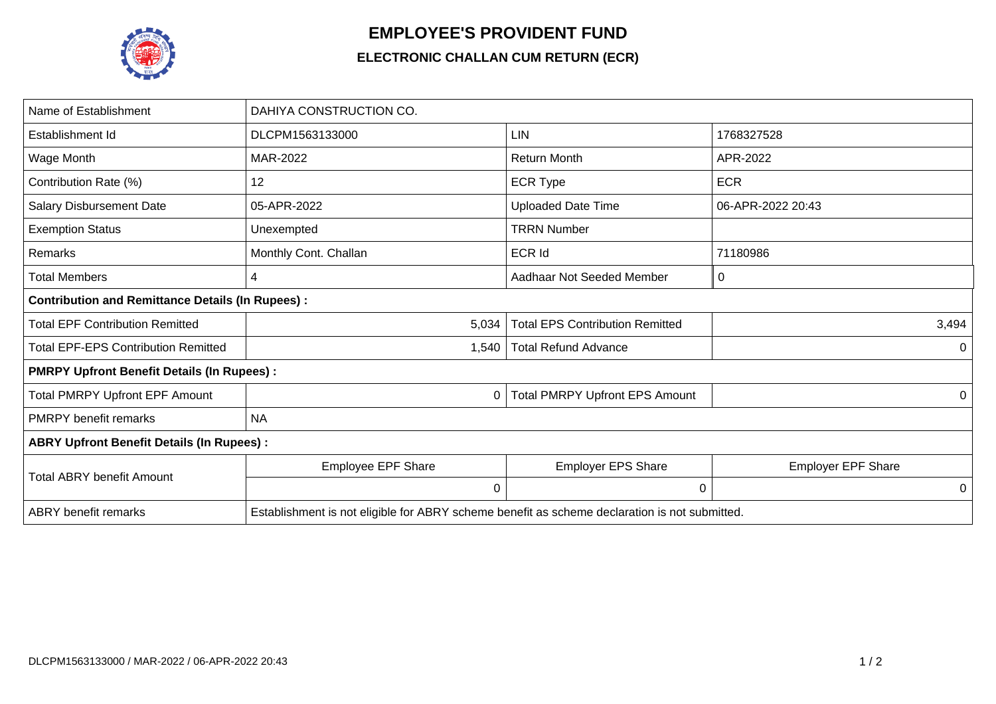

## **EMPLOYEE'S PROVIDENT FUND**

## **ELECTRONIC CHALLAN CUM RETURN (ECR)**

| Name of Establishment                                   | DAHIYA CONSTRUCTION CO.                                                                       |                                        |                           |  |  |  |
|---------------------------------------------------------|-----------------------------------------------------------------------------------------------|----------------------------------------|---------------------------|--|--|--|
| Establishment Id                                        | DLCPM1563133000                                                                               | LIN                                    | 1768327528                |  |  |  |
| Wage Month                                              | MAR-2022                                                                                      | <b>Return Month</b>                    | APR-2022                  |  |  |  |
| Contribution Rate (%)                                   | 12                                                                                            | <b>ECR Type</b>                        | <b>ECR</b>                |  |  |  |
| <b>Salary Disbursement Date</b>                         | 05-APR-2022                                                                                   | <b>Uploaded Date Time</b>              | 06-APR-2022 20:43         |  |  |  |
| <b>Exemption Status</b>                                 | Unexempted                                                                                    | <b>TRRN Number</b>                     |                           |  |  |  |
| Remarks                                                 | Monthly Cont. Challan                                                                         | <b>ECR Id</b>                          | 71180986                  |  |  |  |
| <b>Total Members</b>                                    | 4                                                                                             | Aadhaar Not Seeded Member              | 0                         |  |  |  |
| <b>Contribution and Remittance Details (In Rupees):</b> |                                                                                               |                                        |                           |  |  |  |
| <b>Total EPF Contribution Remitted</b>                  | 5,034                                                                                         | <b>Total EPS Contribution Remitted</b> | 3,494                     |  |  |  |
| <b>Total EPF-EPS Contribution Remitted</b>              | 1,540                                                                                         | <b>Total Refund Advance</b>            | $\Omega$                  |  |  |  |
| <b>PMRPY Upfront Benefit Details (In Rupees):</b>       |                                                                                               |                                        |                           |  |  |  |
| <b>Total PMRPY Upfront EPF Amount</b>                   | 0                                                                                             | <b>Total PMRPY Upfront EPS Amount</b>  | 0                         |  |  |  |
| <b>PMRPY</b> benefit remarks                            | <b>NA</b>                                                                                     |                                        |                           |  |  |  |
| <b>ABRY Upfront Benefit Details (In Rupees):</b>        |                                                                                               |                                        |                           |  |  |  |
| <b>Total ABRY benefit Amount</b>                        | <b>Employee EPF Share</b>                                                                     | <b>Employer EPS Share</b>              | <b>Employer EPF Share</b> |  |  |  |
|                                                         | 0                                                                                             | 0                                      | 0                         |  |  |  |
| <b>ABRY</b> benefit remarks                             | Establishment is not eligible for ABRY scheme benefit as scheme declaration is not submitted. |                                        |                           |  |  |  |